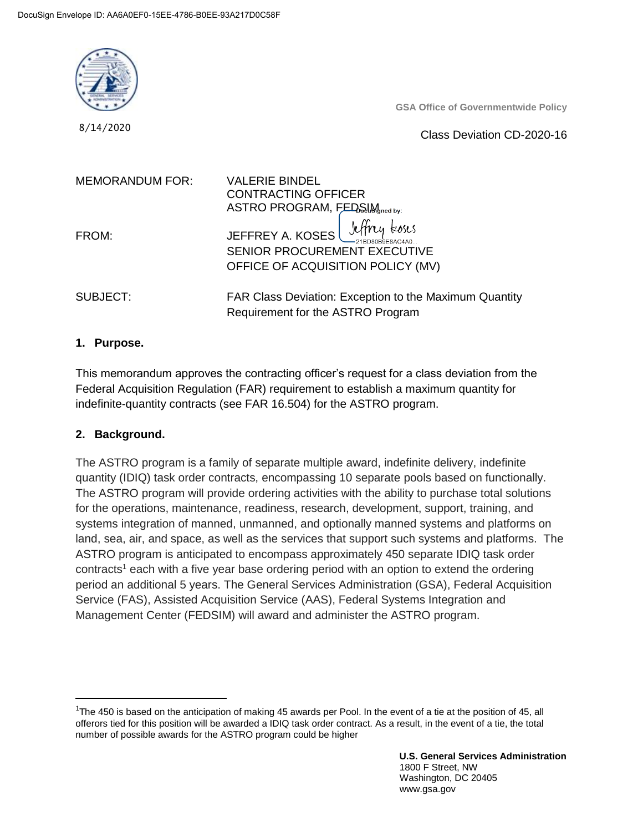

8/14/2020

**GSA Office of Governmentwide Policy**

### Class Deviation CD-2020-16

| <b>MEMORANDUM FOR:</b> | VALERIE BINDEL<br><b>CONTRACTING OFFICER</b><br>ASTRO PROGRAM, FEDSIMIned by:                        |
|------------------------|------------------------------------------------------------------------------------------------------|
| FROM:                  | JEFFREY A. KOSES liftly two ses<br>SENIOR PROCUREMENT EXECUTIVE<br>OFFICE OF ACQUISITION POLICY (MV) |
| SUBJECT:               | FAR Class Deviation: Exception to the Maximum Quantity                                               |

## **1. Purpose.**

This memorandum approves the contracting officer's request for a class deviation from the Federal Acquisition Regulation (FAR) requirement to establish a maximum quantity for indefinite-quantity contracts (see FAR 16.504) for the ASTRO program.

Requirement for the ASTRO Program

#### **2. Background.**

 $\overline{\phantom{a}}$ 

The ASTRO program is a family of separate multiple award, indefinite delivery, indefinite quantity (IDIQ) task order contracts, encompassing 10 separate pools based on functionally. The ASTRO program will provide ordering activities with the ability to purchase total solutions for the operations, maintenance, readiness, research, development, support, training, and systems integration of manned, unmanned, and optionally manned systems and platforms on land, sea, air, and space, as well as the services that support such systems and platforms. The ASTRO program is anticipated to encompass approximately 450 separate IDIQ task order contracts<sup>1</sup> each with a five year base ordering period with an option to extend the ordering period an additional 5 years. The General Services Administration (GSA), Federal Acquisition Service (FAS), Assisted Acquisition Service (AAS), Federal Systems Integration and Management Center (FEDSIM) will award and administer the ASTRO program.

 $1$ The 450 is based on the anticipation of making 45 awards per Pool. In the event of a tie at the position of 45, all offerors tied for this position will be awarded a IDIQ task order contract. As a result, in the event of a tie, the total number of possible awards for the ASTRO program could be higher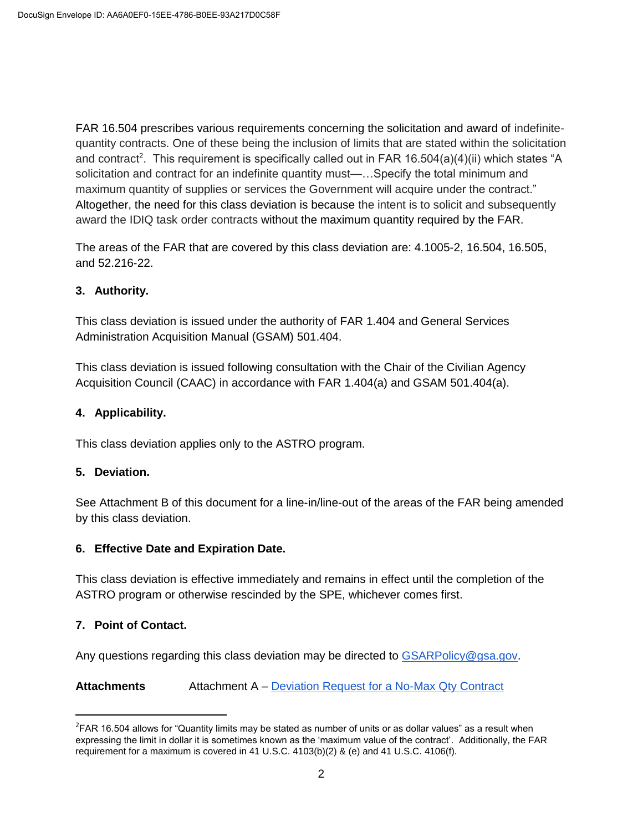FAR 16.504 prescribes various requirements concerning the solicitation and award of indefinitequantity contracts. One of these being the inclusion of limits that are stated within the solicitation and contract<sup>2</sup>. This requirement is specifically called out in FAR 16.504(a)(4)(ii) which states "A solicitation and contract for an indefinite quantity must—…Specify the total minimum and maximum quantity of supplies or services the Government will acquire under the contract." Altogether, the need for this class deviation is because the intent is to solicit and subsequently award the IDIQ task order contracts without the maximum quantity required by the FAR.

The areas of the FAR that are covered by this class deviation are: 4.1005-2, 16.504, 16.505, and 52.216-22.

# **3. Authority.**

This class deviation is issued under the authority of FAR 1.404 and General Services Administration Acquisition Manual (GSAM) 501.404.

This class deviation is issued following consultation with the Chair of the Civilian Agency Acquisition Council (CAAC) in accordance with FAR 1.404(a) and GSAM 501.404(a).

## **4. Applicability.**

This class deviation applies only to the ASTRO program.

#### **5. Deviation.**

See Attachment B of this document for a line-in/line-out of the areas of the FAR being amended by this class deviation.

#### **6. Effective Date and Expiration Date.**

This class deviation is effective immediately and remains in effect until the completion of the ASTRO program or otherwise rescinded by the SPE, whichever comes first.

### **7. Point of Contact.**

 $\overline{\phantom{a}}$ 

Any questions regarding this class deviation may be directed to [GSARPolicy@gsa.gov.](mailto:GSARPolicy@gsa.gov)

**Attachments** Attachment A – [Deviation Request for a No-Max Qty Contract](https://drive.google.com/file/d/1hxEWCP85fdHS69tM_y_Y1EDk8AoGefU5/view?usp=sharing)

<sup>&</sup>lt;sup>2</sup>FAR 16.504 allows for "Quantity limits may be stated as number of units or as dollar values" as a result when expressing the limit in dollar it is sometimes known as the 'maximum value of the contract'. Additionally, the FAR requirement for a maximum is covered in 41 U.S.C.  $4103(b)(2)$  & (e) and 41 U.S.C.  $4106(f)$ .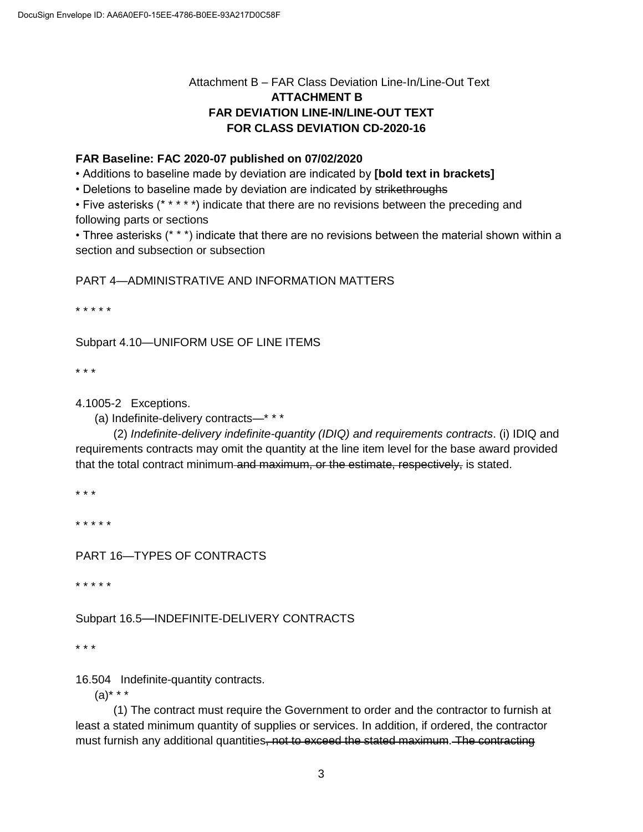# Attachment B – FAR Class Deviation Line-In/Line-Out Text  **ATTACHMENT B FAR DEVIATION LINE-IN/LINE-OUT TEXT FOR CLASS DEVIATION CD-2020-16**

# **FAR Baseline: FAC 2020-07 published on 07/02/2020**

• Additions to baseline made by deviation are indicated by **[bold text in brackets]**

• Deletions to baseline made by deviation are indicated by strikethroughs

• Five asterisks (\* \* \* \* \*) indicate that there are no revisions between the preceding and following parts or sections

• Three asterisks (\* \* \*) indicate that there are no revisions between the material shown within a section and subsection or subsection

PART 4—ADMINISTRATIVE AND INFORMATION MATTERS

\* \* \* \* \*

Subpart 4.10—UNIFORM USE OF LINE ITEMS

\* \* \*

4.1005-2 Exceptions.

(a) Indefinite-delivery contracts—\* \* \*

(2) *Indefinite-delivery indefinite-quantity (IDIQ) and requirements contracts*. (i) IDIQ and requirements contracts may omit the quantity at the line item level for the base award provided that the total contract minimum and maximum, or the estimate, respectively, is stated.

\* \* \*

\* \* \* \* \*

PART 16—TYPES OF CONTRACTS

\* \* \* \* \*

Subpart 16.5—INDEFINITE-DELIVERY CONTRACTS

\* \* \*

16.504 Indefinite-quantity contracts.

 $(a)$ \* \* \*

(1) The contract must require the Government to order and the contractor to furnish at least a stated minimum quantity of supplies or services. In addition, if ordered, the contractor must furnish any additional quantities, not to exceed the stated maximum. The contracting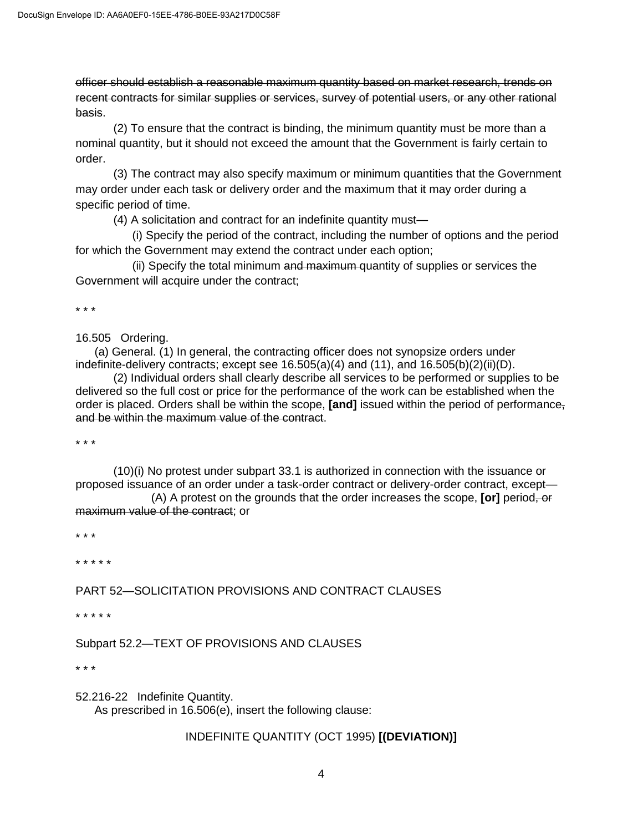officer should establish a reasonable maximum quantity based on market research, trends on recent contracts for similar supplies or services, survey of potential users, or any other rational basis.

(2) To ensure that the contract is binding, the minimum quantity must be more than a nominal quantity, but it should not exceed the amount that the Government is fairly certain to order.

(3) The contract may also specify maximum or minimum quantities that the Government may order under each task or delivery order and the maximum that it may order during a specific period of time.

(4) A solicitation and contract for an indefinite quantity must—

(i) Specify the period of the contract, including the number of options and the period for which the Government may extend the contract under each option;

(ii) Specify the total minimum and maximum quantity of supplies or services the Government will acquire under the contract;

\* \* \*

16.505 Ordering.

(a) General. (1) In general, the contracting officer does not synopsize orders under indefinite-delivery contracts; except see 16.505(a)(4) and (11), and 16.505(b)(2)(ii)(D).

(2) Individual orders shall clearly describe all services to be performed or supplies to be delivered so the full cost or price for the performance of the work can be established when the order is placed. Orders shall be within the scope, **[and]** issued within the period of performance, and be within the maximum value of the contract.

\* \* \*

(10)(i) No protest under subpart 33.1 is authorized in connection with the issuance or proposed issuance of an order under a task-order contract or delivery-order contract, except— (A) A protest on the grounds that the order increases the scope, **[or]** period, or maximum value of the contract; or

\* \* \*

\* \* \* \* \*

PART 52—SOLICITATION PROVISIONS AND CONTRACT CLAUSES

\* \* \* \* \*

Subpart 52.2—TEXT OF PROVISIONS AND CLAUSES

\* \* \*

52.216-22 Indefinite Quantity. As prescribed in 16.506(e), insert the following clause:

# INDEFINITE QUANTITY (OCT 1995) **[(DEVIATION)]**